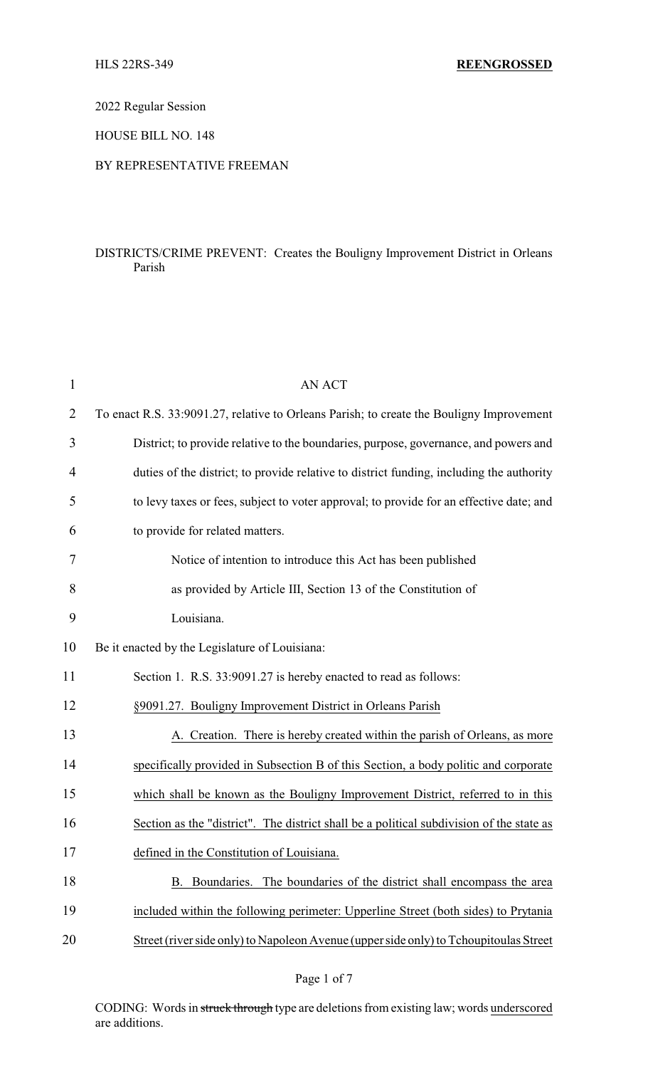2022 Regular Session

HOUSE BILL NO. 148

## BY REPRESENTATIVE FREEMAN

## DISTRICTS/CRIME PREVENT: Creates the Bouligny Improvement District in Orleans Parish

| $\mathbf{1}$ | <b>AN ACT</b>                                                                            |
|--------------|------------------------------------------------------------------------------------------|
| 2            | To enact R.S. 33:9091.27, relative to Orleans Parish; to create the Bouligny Improvement |
| 3            | District; to provide relative to the boundaries, purpose, governance, and powers and     |
| 4            | duties of the district; to provide relative to district funding, including the authority |
| 5            | to levy taxes or fees, subject to voter approval; to provide for an effective date; and  |
| 6            | to provide for related matters.                                                          |
| 7            | Notice of intention to introduce this Act has been published                             |
| 8            | as provided by Article III, Section 13 of the Constitution of                            |
| 9            | Louisiana.                                                                               |
| 10           | Be it enacted by the Legislature of Louisiana:                                           |
| 11           | Section 1. R.S. 33:9091.27 is hereby enacted to read as follows:                         |
| 12           | §9091.27. Bouligny Improvement District in Orleans Parish                                |
| 13           | A. Creation. There is hereby created within the parish of Orleans, as more               |
| 14           | specifically provided in Subsection B of this Section, a body politic and corporate      |
| 15           | which shall be known as the Bouligny Improvement District, referred to in this           |
| 16           | Section as the "district". The district shall be a political subdivision of the state as |
| 17           | defined in the Constitution of Louisiana.                                                |
| 18           | Boundaries. The boundaries of the district shall encompass the area<br>B.                |
| 19           | included within the following perimeter: Upperline Street (both sides) to Prytania       |
| 20           | Street (river side only) to Napoleon Avenue (upper side only) to Tchoupitoulas Street    |
|              |                                                                                          |

CODING: Words in struck through type are deletions from existing law; words underscored are additions.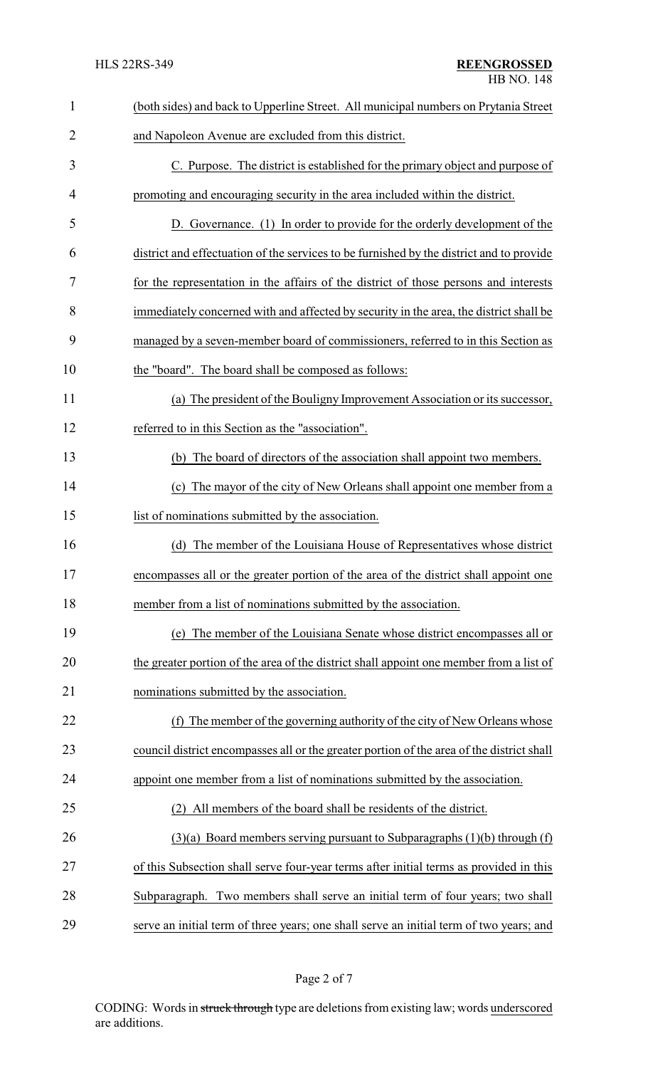| $\mathbf{1}$   | (both sides) and back to Upperline Street. All municipal numbers on Prytania Street       |  |  |  |
|----------------|-------------------------------------------------------------------------------------------|--|--|--|
| $\overline{2}$ | and Napoleon Avenue are excluded from this district.                                      |  |  |  |
| 3              | C. Purpose. The district is established for the primary object and purpose of             |  |  |  |
| 4              | promoting and encouraging security in the area included within the district.              |  |  |  |
| 5              | D. Governance. (1) In order to provide for the orderly development of the                 |  |  |  |
| 6              | district and effectuation of the services to be furnished by the district and to provide  |  |  |  |
| 7              | for the representation in the affairs of the district of those persons and interests      |  |  |  |
| 8              | immediately concerned with and affected by security in the area, the district shall be    |  |  |  |
| 9              | managed by a seven-member board of commissioners, referred to in this Section as          |  |  |  |
| 10             | the "board". The board shall be composed as follows:                                      |  |  |  |
| 11             | (a) The president of the Bouligny Improvement Association or its successor,               |  |  |  |
| 12             | referred to in this Section as the "association".                                         |  |  |  |
| 13             | (b) The board of directors of the association shall appoint two members.                  |  |  |  |
| 14             | The mayor of the city of New Orleans shall appoint one member from a<br>(c)               |  |  |  |
| 15             | list of nominations submitted by the association.                                         |  |  |  |
| 16             | The member of the Louisiana House of Representatives whose district<br>(d)                |  |  |  |
| 17             | encompasses all or the greater portion of the area of the district shall appoint one      |  |  |  |
| 18             | member from a list of nominations submitted by the association.                           |  |  |  |
| 19             | The member of the Louisiana Senate whose district encompasses all or<br>(e)               |  |  |  |
| 20             | the greater portion of the area of the district shall appoint one member from a list of   |  |  |  |
| 21             | nominations submitted by the association.                                                 |  |  |  |
| 22             | The member of the governing authority of the city of New Orleans whose<br>(f)             |  |  |  |
| 23             | council district encompasses all or the greater portion of the area of the district shall |  |  |  |
| 24             | appoint one member from a list of nominations submitted by the association.               |  |  |  |
| 25             | All members of the board shall be residents of the district.                              |  |  |  |
| 26             | $(3)(a)$ Board members serving pursuant to Subparagraphs $(1)(b)$ through $(f)$           |  |  |  |
| 27             | of this Subsection shall serve four-year terms after initial terms as provided in this    |  |  |  |
| 28             | Subparagraph. Two members shall serve an initial term of four years; two shall            |  |  |  |
| 29             | serve an initial term of three years; one shall serve an initial term of two years; and   |  |  |  |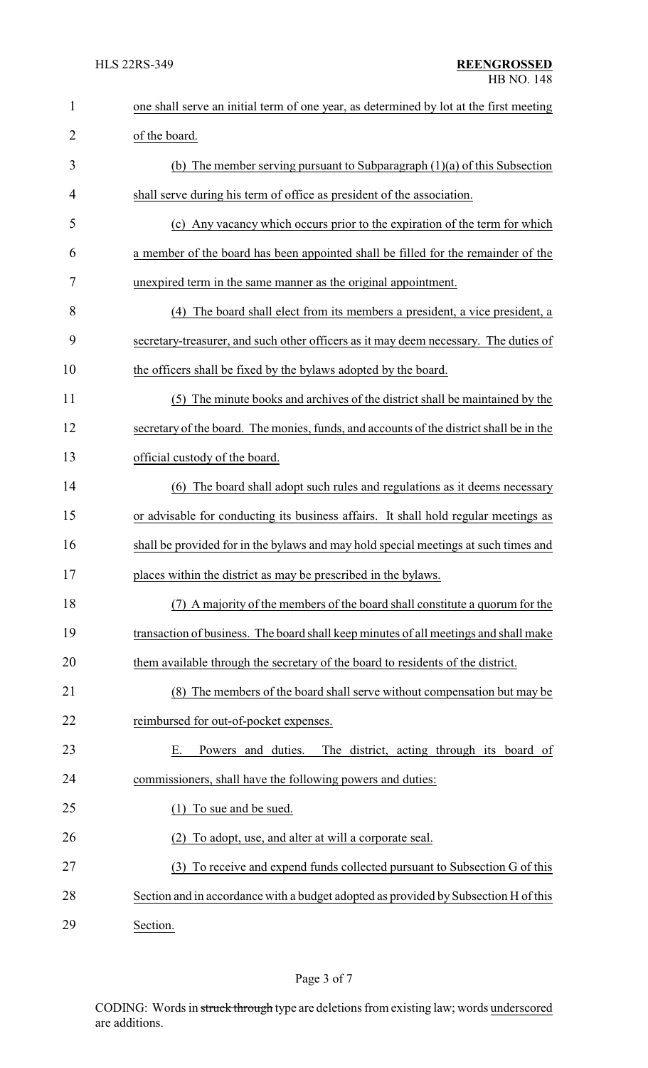| $\mathbf{1}$   | one shall serve an initial term of one year, as determined by lot at the first meeting  |  |  |
|----------------|-----------------------------------------------------------------------------------------|--|--|
| $\overline{2}$ | of the board.                                                                           |  |  |
| 3              | (b) The member serving pursuant to Subparagraph $(1)(a)$ of this Subsection             |  |  |
| 4              | shall serve during his term of office as president of the association.                  |  |  |
| 5              | (c) Any vacancy which occurs prior to the expiration of the term for which              |  |  |
| 6              | a member of the board has been appointed shall be filled for the remainder of the       |  |  |
| 7              | unexpired term in the same manner as the original appointment.                          |  |  |
| 8              | (4) The board shall elect from its members a president, a vice president, a             |  |  |
| 9              | secretary-treasurer, and such other officers as it may deem necessary. The duties of    |  |  |
| 10             | the officers shall be fixed by the bylaws adopted by the board.                         |  |  |
| 11             | (5) The minute books and archives of the district shall be maintained by the            |  |  |
| 12             | secretary of the board. The monies, funds, and accounts of the district shall be in the |  |  |
| 13             | official custody of the board.                                                          |  |  |
| 14             | The board shall adopt such rules and regulations as it deems necessary<br>(6)           |  |  |
| 15             | or advisable for conducting its business affairs. It shall hold regular meetings as     |  |  |
| 16             | shall be provided for in the bylaws and may hold special meetings at such times and     |  |  |
| 17             | places within the district as may be prescribed in the bylaws.                          |  |  |
| 18             | (7) A majority of the members of the board shall constitute a quorum for the            |  |  |
| 19             | transaction of business. The board shall keep minutes of all meetings and shall make    |  |  |
| 20             | them available through the secretary of the board to residents of the district.         |  |  |
| 21             | (8) The members of the board shall serve without compensation but may be                |  |  |
| 22             | reimbursed for out-of-pocket expenses.                                                  |  |  |
| 23             | Powers and duties.<br>The district, acting through its board of<br>Е.                   |  |  |
| 24             | commissioners, shall have the following powers and duties:                              |  |  |
| 25             | To sue and be sued.<br>(1)                                                              |  |  |
| 26             | To adopt, use, and alter at will a corporate seal.                                      |  |  |
| 27             | (3) To receive and expend funds collected pursuant to Subsection G of this              |  |  |
| 28             | Section and in accordance with a budget adopted as provided by Subsection H of this     |  |  |
| 29             | Section.                                                                                |  |  |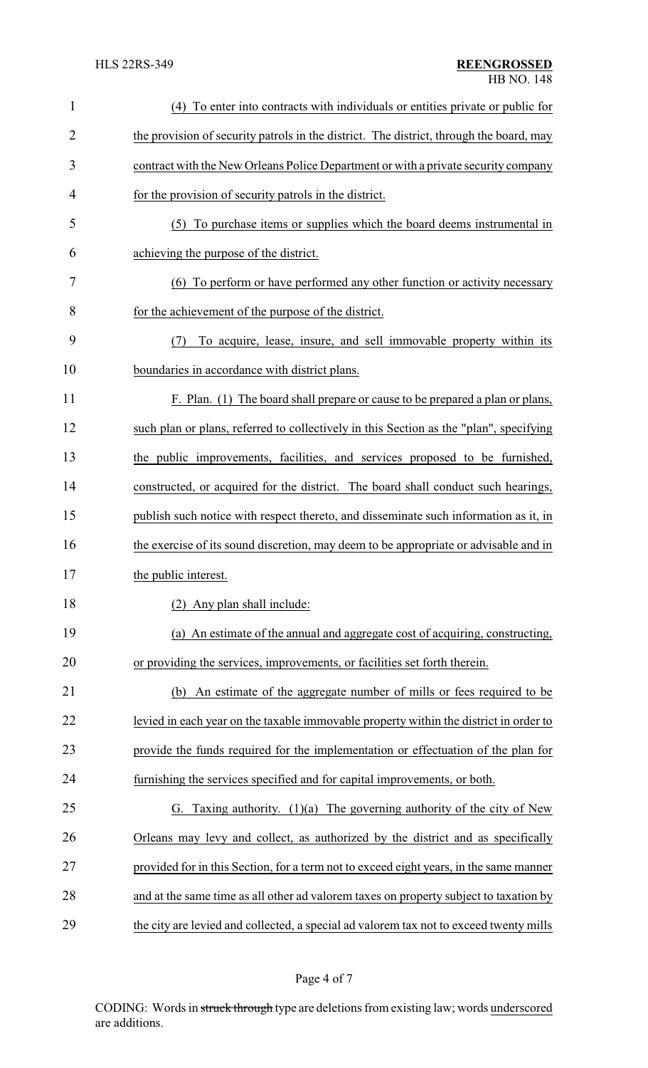| $\mathbf{1}$   | (4) To enter into contracts with individuals or entities private or public for          |  |  |
|----------------|-----------------------------------------------------------------------------------------|--|--|
| $\overline{2}$ | the provision of security patrols in the district. The district, through the board, may |  |  |
| 3              | contract with the New Orleans Police Department or with a private security company      |  |  |
| 4              | for the provision of security patrols in the district.                                  |  |  |
| 5              | (5) To purchase items or supplies which the board deems instrumental in                 |  |  |
| 6              | achieving the purpose of the district.                                                  |  |  |
| 7              | (6) To perform or have performed any other function or activity necessary               |  |  |
| 8              | for the achievement of the purpose of the district.                                     |  |  |
| 9              | To acquire, lease, insure, and sell immovable property within its<br>(7)                |  |  |
| 10             | boundaries in accordance with district plans.                                           |  |  |
| 11             | F. Plan. (1) The board shall prepare or cause to be prepared a plan or plans,           |  |  |
| 12             | such plan or plans, referred to collectively in this Section as the "plan", specifying  |  |  |
| 13             | the public improvements, facilities, and services proposed to be furnished,             |  |  |
| 14             | constructed, or acquired for the district. The board shall conduct such hearings,       |  |  |
| 15             | publish such notice with respect thereto, and disseminate such information as it, in    |  |  |
| 16             | the exercise of its sound discretion, may deem to be appropriate or advisable and in    |  |  |
| 17             | the public interest.                                                                    |  |  |
| 18             | (2) Any plan shall include:                                                             |  |  |
| 19             | (a) An estimate of the annual and aggregate cost of acquiring, constructing,            |  |  |
| 20             | or providing the services, improvements, or facilities set forth therein.               |  |  |
| 21             | An estimate of the aggregate number of mills or fees required to be<br>(b)              |  |  |
| 22             | levied in each year on the taxable immovable property within the district in order to   |  |  |
| 23             | provide the funds required for the implementation or effectuation of the plan for       |  |  |
| 24             | furnishing the services specified and for capital improvements, or both.                |  |  |
| 25             | G. Taxing authority. $(1)(a)$ The governing authority of the city of New                |  |  |
| 26             | Orleans may levy and collect, as authorized by the district and as specifically         |  |  |
| 27             | provided for in this Section, for a term not to exceed eight years, in the same manner  |  |  |
| 28             | and at the same time as all other ad valorem taxes on property subject to taxation by   |  |  |
| 29             | the city are levied and collected, a special ad valorem tax not to exceed twenty mills  |  |  |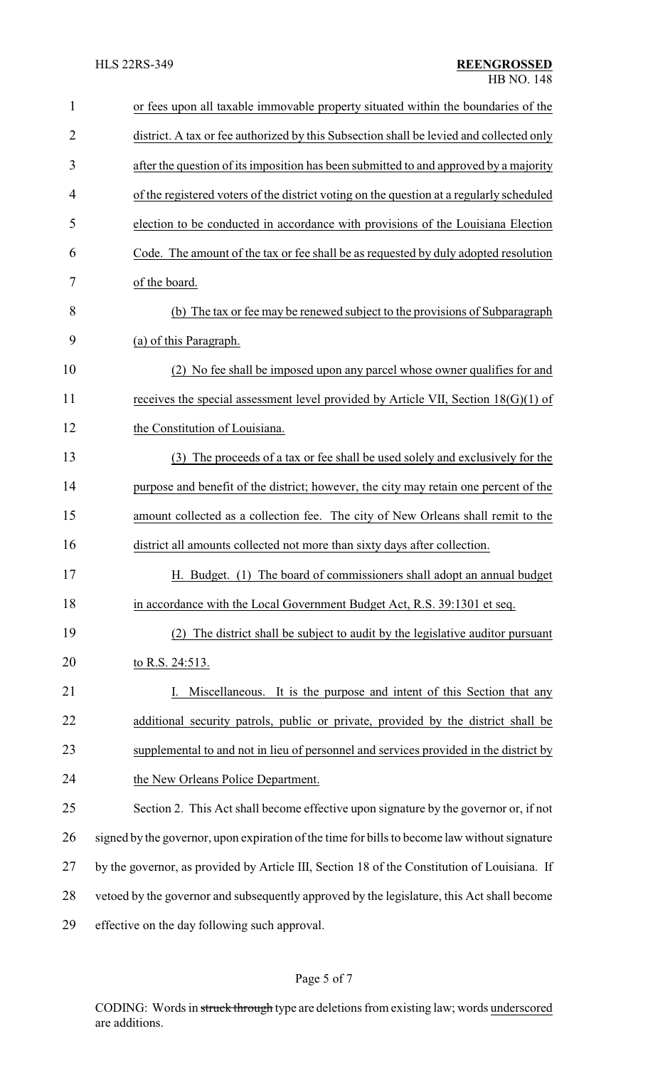| $\mathbf{1}$   | or fees upon all taxable immovable property situated within the boundaries of the             |
|----------------|-----------------------------------------------------------------------------------------------|
| $\overline{2}$ | district. A tax or fee authorized by this Subsection shall be levied and collected only       |
| 3              | after the question of its imposition has been submitted to and approved by a majority         |
| 4              | of the registered voters of the district voting on the question at a regularly scheduled      |
| 5              | election to be conducted in accordance with provisions of the Louisiana Election              |
| 6              | Code. The amount of the tax or fee shall be as requested by duly adopted resolution           |
| 7              | of the board.                                                                                 |
| 8              | (b) The tax or fee may be renewed subject to the provisions of Subparagraph                   |
| 9              | (a) of this Paragraph.                                                                        |
| 10             | (2) No fee shall be imposed upon any parcel whose owner qualifies for and                     |
| 11             | receives the special assessment level provided by Article VII, Section $18(G)(1)$ of          |
| 12             | the Constitution of Louisiana.                                                                |
| 13             | (3) The proceeds of a tax or fee shall be used solely and exclusively for the                 |
| 14             | purpose and benefit of the district; however, the city may retain one percent of the          |
| 15             | amount collected as a collection fee. The city of New Orleans shall remit to the              |
| 16             | district all amounts collected not more than sixty days after collection.                     |
| 17             | H. Budget. (1) The board of commissioners shall adopt an annual budget                        |
| 18             | in accordance with the Local Government Budget Act, R.S. 39:1301 et seq.                      |
| 19             | The district shall be subject to audit by the legislative auditor pursuant<br>(2)             |
| 20             | to R.S. 24:513.                                                                               |
| 21             | Miscellaneous. It is the purpose and intent of this Section that any                          |
| 22             | additional security patrols, public or private, provided by the district shall be             |
| 23             | supplemental to and not in lieu of personnel and services provided in the district by         |
| 24             | the New Orleans Police Department.                                                            |
| 25             | Section 2. This Act shall become effective upon signature by the governor or, if not          |
| 26             | signed by the governor, upon expiration of the time for bills to become law without signature |
| 27             | by the governor, as provided by Article III, Section 18 of the Constitution of Louisiana. If  |
| 28             | vetoed by the governor and subsequently approved by the legislature, this Act shall become    |
| 29             | effective on the day following such approval.                                                 |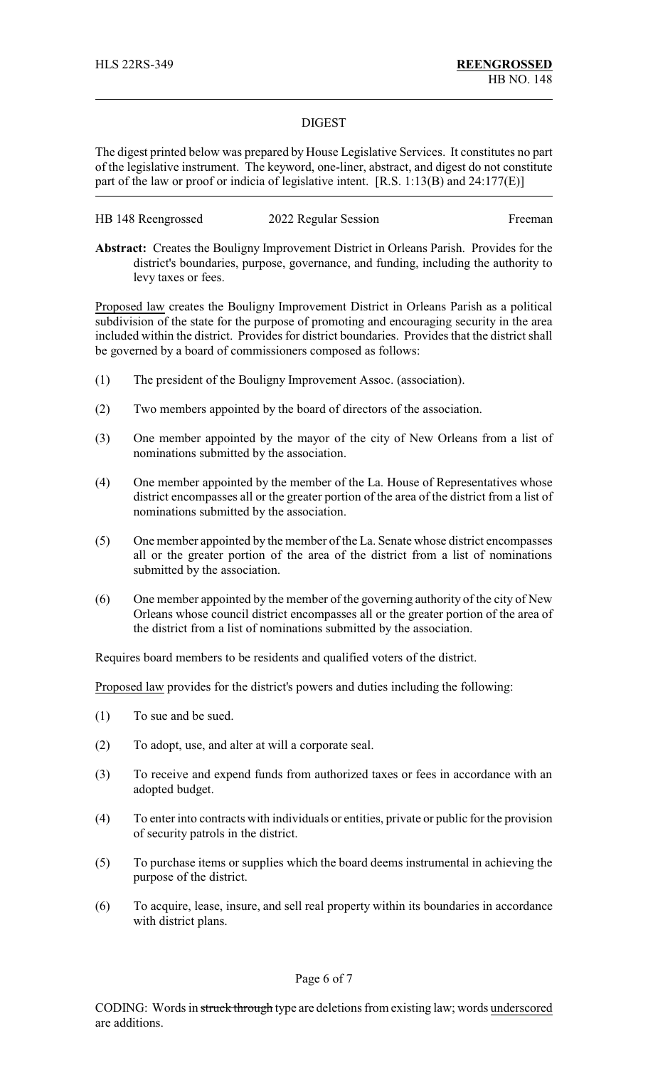## DIGEST

The digest printed below was prepared by House Legislative Services. It constitutes no part of the legislative instrument. The keyword, one-liner, abstract, and digest do not constitute part of the law or proof or indicia of legislative intent. [R.S. 1:13(B) and 24:177(E)]

| HB 148 Reengrossed | 2022 Regular Session | Freeman |
|--------------------|----------------------|---------|
|--------------------|----------------------|---------|

**Abstract:** Creates the Bouligny Improvement District in Orleans Parish. Provides for the district's boundaries, purpose, governance, and funding, including the authority to levy taxes or fees.

Proposed law creates the Bouligny Improvement District in Orleans Parish as a political subdivision of the state for the purpose of promoting and encouraging security in the area included within the district. Provides for district boundaries. Provides that the district shall be governed by a board of commissioners composed as follows:

- (1) The president of the Bouligny Improvement Assoc. (association).
- (2) Two members appointed by the board of directors of the association.
- (3) One member appointed by the mayor of the city of New Orleans from a list of nominations submitted by the association.
- (4) One member appointed by the member of the La. House of Representatives whose district encompasses all or the greater portion of the area of the district from a list of nominations submitted by the association.
- (5) One member appointed by the member of the La. Senate whose district encompasses all or the greater portion of the area of the district from a list of nominations submitted by the association.
- (6) One member appointed by the member of the governing authority of the city of New Orleans whose council district encompasses all or the greater portion of the area of the district from a list of nominations submitted by the association.

Requires board members to be residents and qualified voters of the district.

Proposed law provides for the district's powers and duties including the following:

- (1) To sue and be sued.
- (2) To adopt, use, and alter at will a corporate seal.
- (3) To receive and expend funds from authorized taxes or fees in accordance with an adopted budget.
- (4) To enter into contracts with individuals or entities, private or public for the provision of security patrols in the district.
- (5) To purchase items or supplies which the board deems instrumental in achieving the purpose of the district.
- (6) To acquire, lease, insure, and sell real property within its boundaries in accordance with district plans.

Page 6 of 7